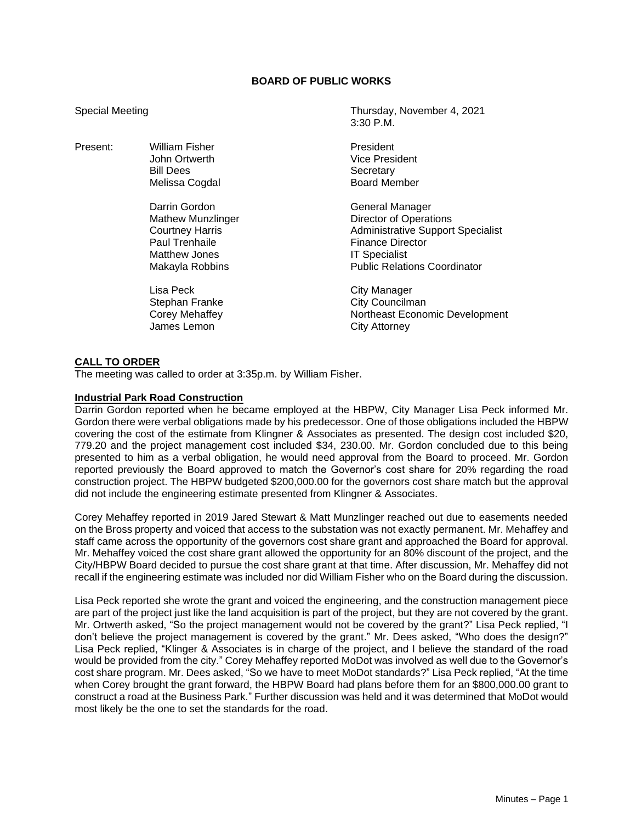## **BOARD OF PUBLIC WORKS**

Present: William Fisher **President** President

Darrin Gordon General Manager Matthew Jones **IT Specialist** 

Melissa Cogdal

Lisa Peck **City Manager** James Lemon City Attorney

Special Meeting Thursday, November 4, 2021 3:30 P.M.

> John Ortwerth Vice President Secretary<br>Board Member

Mathew Munzlinger **Director of Operations** Courtney Harris **Administrative Support Specialist**<br>
Paul Trenhaile **Administrative Support Specialist**<br>
Finance Director **Finance Director** Makayla Robbins **Public Relations Coordinator** 

Stephan Franke City Councilman<br>
Corey Mehaffey Cores Northeast Econo Northeast Economic Development

### **CALL TO ORDER**

The meeting was called to order at 3:35p.m. by William Fisher.

### **Industrial Park Road Construction**

Darrin Gordon reported when he became employed at the HBPW, City Manager Lisa Peck informed Mr. Gordon there were verbal obligations made by his predecessor. One of those obligations included the HBPW covering the cost of the estimate from Klingner & Associates as presented. The design cost included \$20, 779.20 and the project management cost included \$34, 230.00. Mr. Gordon concluded due to this being presented to him as a verbal obligation, he would need approval from the Board to proceed. Mr. Gordon reported previously the Board approved to match the Governor's cost share for 20% regarding the road construction project. The HBPW budgeted \$200,000.00 for the governors cost share match but the approval did not include the engineering estimate presented from Klingner & Associates.

Corey Mehaffey reported in 2019 Jared Stewart & Matt Munzlinger reached out due to easements needed on the Bross property and voiced that access to the substation was not exactly permanent. Mr. Mehaffey and staff came across the opportunity of the governors cost share grant and approached the Board for approval. Mr. Mehaffey voiced the cost share grant allowed the opportunity for an 80% discount of the project, and the City/HBPW Board decided to pursue the cost share grant at that time. After discussion, Mr. Mehaffey did not recall if the engineering estimate was included nor did William Fisher who on the Board during the discussion.

Lisa Peck reported she wrote the grant and voiced the engineering, and the construction management piece are part of the project just like the land acquisition is part of the project, but they are not covered by the grant. Mr. Ortwerth asked, "So the project management would not be covered by the grant?" Lisa Peck replied, "I don't believe the project management is covered by the grant." Mr. Dees asked, "Who does the design?" Lisa Peck replied, "Klinger & Associates is in charge of the project, and I believe the standard of the road would be provided from the city." Corey Mehaffey reported MoDot was involved as well due to the Governor's cost share program. Mr. Dees asked, "So we have to meet MoDot standards?" Lisa Peck replied, "At the time when Corey brought the grant forward, the HBPW Board had plans before them for an \$800,000.00 grant to construct a road at the Business Park." Further discussion was held and it was determined that MoDot would most likely be the one to set the standards for the road.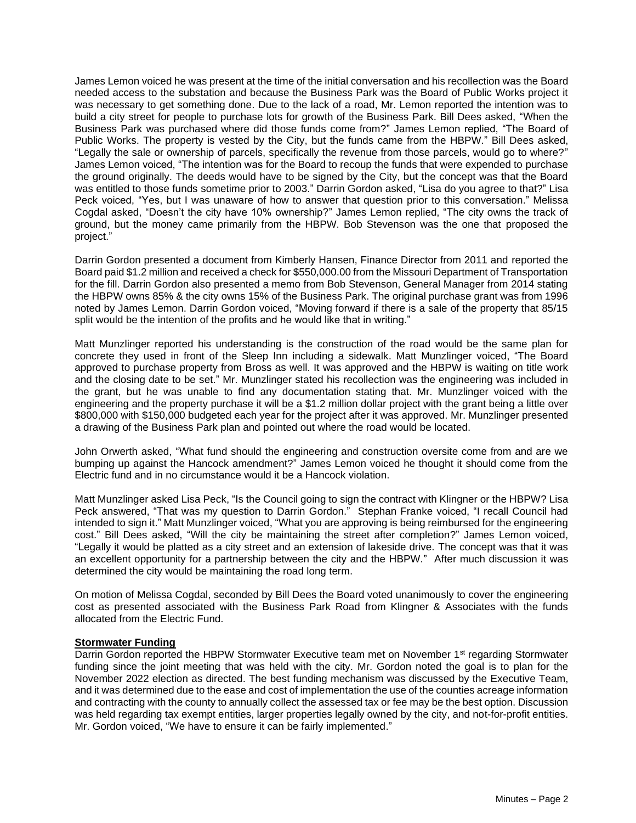James Lemon voiced he was present at the time of the initial conversation and his recollection was the Board needed access to the substation and because the Business Park was the Board of Public Works project it was necessary to get something done. Due to the lack of a road, Mr. Lemon reported the intention was to build a city street for people to purchase lots for growth of the Business Park. Bill Dees asked, "When the Business Park was purchased where did those funds come from?" James Lemon replied, "The Board of Public Works. The property is vested by the City, but the funds came from the HBPW." Bill Dees asked, "Legally the sale or ownership of parcels, specifically the revenue from those parcels, would go to where?" James Lemon voiced, "The intention was for the Board to recoup the funds that were expended to purchase the ground originally. The deeds would have to be signed by the City, but the concept was that the Board was entitled to those funds sometime prior to 2003." Darrin Gordon asked, "Lisa do you agree to that?" Lisa Peck voiced, "Yes, but I was unaware of how to answer that question prior to this conversation." Melissa Cogdal asked, "Doesn't the city have 10% ownership?" James Lemon replied, "The city owns the track of ground, but the money came primarily from the HBPW. Bob Stevenson was the one that proposed the project."

Darrin Gordon presented a document from Kimberly Hansen, Finance Director from 2011 and reported the Board paid \$1.2 million and received a check for \$550,000.00 from the Missouri Department of Transportation for the fill. Darrin Gordon also presented a memo from Bob Stevenson, General Manager from 2014 stating the HBPW owns 85% & the city owns 15% of the Business Park. The original purchase grant was from 1996 noted by James Lemon. Darrin Gordon voiced, "Moving forward if there is a sale of the property that 85/15 split would be the intention of the profits and he would like that in writing."

Matt Munzlinger reported his understanding is the construction of the road would be the same plan for concrete they used in front of the Sleep Inn including a sidewalk. Matt Munzlinger voiced, "The Board approved to purchase property from Bross as well. It was approved and the HBPW is waiting on title work and the closing date to be set." Mr. Munzlinger stated his recollection was the engineering was included in the grant, but he was unable to find any documentation stating that. Mr. Munzlinger voiced with the engineering and the property purchase it will be a \$1.2 million dollar project with the grant being a little over \$800,000 with \$150,000 budgeted each year for the project after it was approved. Mr. Munzlinger presented a drawing of the Business Park plan and pointed out where the road would be located.

John Orwerth asked, "What fund should the engineering and construction oversite come from and are we bumping up against the Hancock amendment?" James Lemon voiced he thought it should come from the Electric fund and in no circumstance would it be a Hancock violation.

Matt Munzlinger asked Lisa Peck, "Is the Council going to sign the contract with Klingner or the HBPW? Lisa Peck answered, "That was my question to Darrin Gordon." Stephan Franke voiced, "I recall Council had intended to sign it." Matt Munzlinger voiced, "What you are approving is being reimbursed for the engineering cost." Bill Dees asked, "Will the city be maintaining the street after completion?" James Lemon voiced, "Legally it would be platted as a city street and an extension of lakeside drive. The concept was that it was an excellent opportunity for a partnership between the city and the HBPW." After much discussion it was determined the city would be maintaining the road long term.

On motion of Melissa Cogdal, seconded by Bill Dees the Board voted unanimously to cover the engineering cost as presented associated with the Business Park Road from Klingner & Associates with the funds allocated from the Electric Fund.

# **Stormwater Funding**

Darrin Gordon reported the HBPW Stormwater Executive team met on November 1<sup>st</sup> regarding Stormwater funding since the joint meeting that was held with the city. Mr. Gordon noted the goal is to plan for the November 2022 election as directed. The best funding mechanism was discussed by the Executive Team, and it was determined due to the ease and cost of implementation the use of the counties acreage information and contracting with the county to annually collect the assessed tax or fee may be the best option. Discussion was held regarding tax exempt entities, larger properties legally owned by the city, and not-for-profit entities. Mr. Gordon voiced, "We have to ensure it can be fairly implemented."